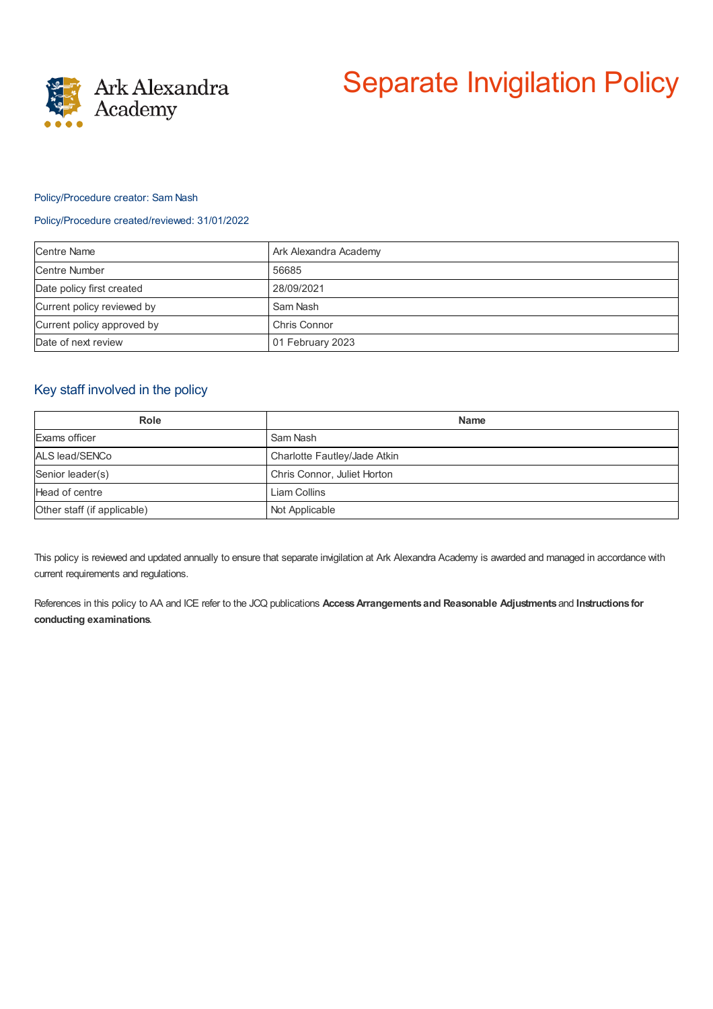

# Separate Invigilation Policy

### Policy/Procedure creator: Sam Nash

#### Policy/Procedure created/reviewed: 31/01/2022

| <b>Centre Name</b>         | Ark Alexandra Academy |
|----------------------------|-----------------------|
| <b>Centre Number</b>       | 56685                 |
| Date policy first created  | 28/09/2021            |
| Current policy reviewed by | Sam Nash              |
| Current policy approved by | Chris Connor          |
| Date of next review        | 01 February 2023      |

## Key staff involved in the policy

| Role                        | <b>Name</b>                  |
|-----------------------------|------------------------------|
| Exams officer               | Sam Nash                     |
| ALS lead/SENCo              | Charlotte Fautley/Jade Atkin |
| Senior leader(s)            | Chris Connor, Juliet Horton  |
| Head of centre              | Liam Collins                 |
| Other staff (if applicable) | Not Applicable               |

This policy is reviewed and updated annually to ensure that separate invigilation at Ark Alexandra Academy is awarded and managed in accordance with current requirements and regulations.

References in this policy to AA and ICE refer to the JCQ publications **AccessArrangements and Reasonable Adjustments** and **Instructions for conducting examinations**.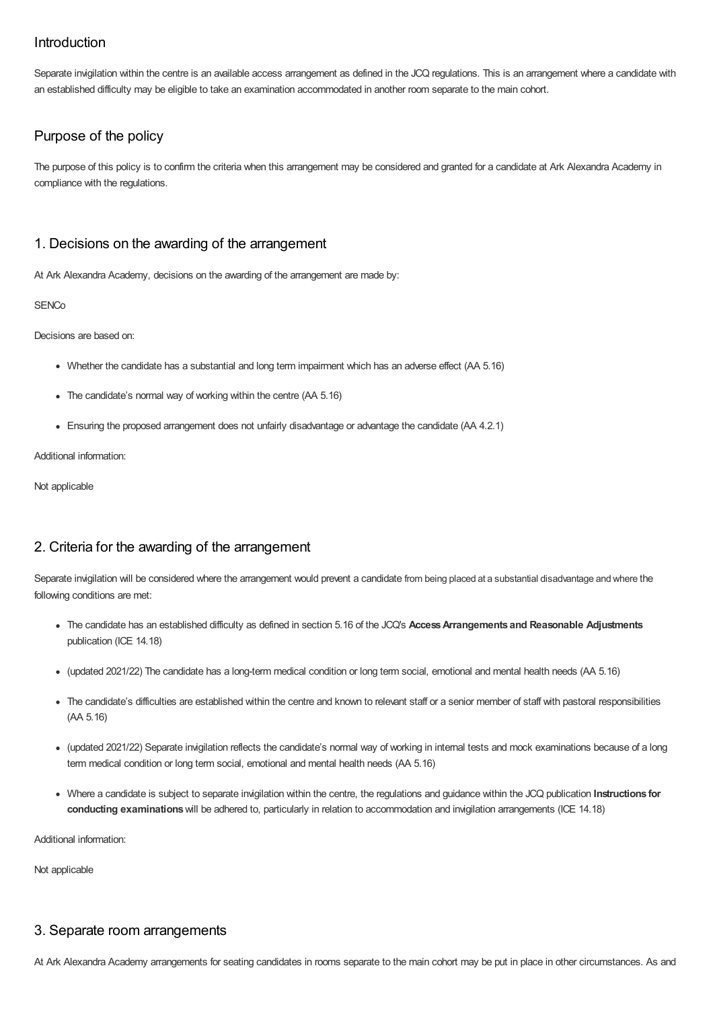# Introduction

Separate invigilation within the centre is an available access arrangement as defined in the JCQ regulations. This is an arrangement where a candidate with an established difficulty may be eligible to take an examination accommodated in another room separate to the main cohort.

# Purpose of the policy

The purpose of this policy is to confirm the criteria when this arrangement may be considered and granted for a candidate at Ark Alexandra Academy in compliance with the regulations.

# 1. Decisions on the awarding of the arrangement

At Ark Alexandra Academy, decisions on the awarding of the arrangement are made by:

#### **SENCo**

Decisions are based on:

- Whether the candidate has a substantial and long term impairment which has an adverse effect (AA 5.16)
- The candidate's normal way of working within the centre (AA 5.16)
- Ensuring the proposed arrangement does not unfairly disadvantage or advantage the candidate (AA 4.2.1)

Additional information:

Not applicable

# 2. Criteria for the awarding of the arrangement

Separate invigilation will be considered where the arrangement would prevent a candidate from being placed at a substantial disadvantage and where the following conditions are met:

- The candidate has an established difficulty as defined in section 5.16 of the JCQ's **AccessArrangements and Reasonable Adjustments** publication (ICE 14.18)
- (updated 2021/22) The candidate has a long-term medical condition or long term social, emotional and mental health needs (AA 5.16)
- The candidate's difficulties are established within the centre and known to relevant staff or a senior member of staff with pastoral responsibilities (AA 5.16)
- (updated 2021/22) Separate invigilation reflects the candidate's normal way of working in internal tests and mock examinations because of a long term medical condition or long term social, emotional and mental health needs (AA 5.16)
- Where a candidate is subject to separate invigilation within the centre, the regulations and guidance within the JCQ publication **Instructions for conducting examinations**will be adhered to, particularly in relation to accommodation and invigilation arrangements (ICE 14.18)

Additional information:

Not applicable

## 3. Separate room arrangements

At Ark Alexandra Academy arrangements for seating candidates in rooms separate to the main cohort may be put in place in other circumstances. As and